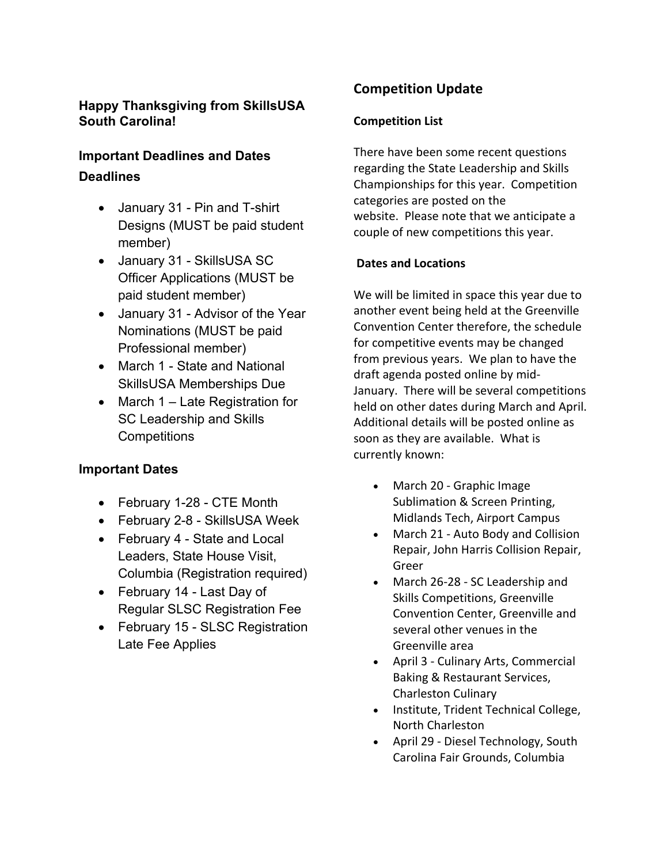## **Happy Thanksgiving from SkillsUSA South Carolina!**

# **Important Deadlines and Dates Deadlines**

- January 31 Pin and T-shirt Designs (MUST be paid student member)
- January 31 SkillsUSA SC Officer Applications (MUST be paid student member)
- January 31 Advisor of the Year Nominations (MUST be paid Professional member)
- March 1 State and National SkillsUSA Memberships Due
- March 1 Late Registration for SC Leadership and Skills **Competitions**

## **Important Dates**

- February 1-28 CTE Month
- February 2-8 SkillsUSA Week
- February 4 State and Local Leaders, State House Visit, Columbia (Registration required)
- February 14 Last Day of Regular SLSC Registration Fee
- February 15 SLSC Registration Late Fee Applies

# **Competition Update**

### **Competition List**

There have been some recent questions regarding the State Leadership and Skills Championships for this year. Competition categories are posted on the website. Please note that we anticipate a couple of new competitions this year.

## **Dates and Locations**

We will be limited in space this year due to another event being held at the Greenville Convention Center therefore, the schedule for competitive events may be changed from previous years. We plan to have the draft agenda posted online by mid-January. There will be several competitions held on other dates during March and April. Additional details will be posted online as soon as they are available. What is currently known:

- March 20 Graphic Image Sublimation & Screen Printing, Midlands Tech, Airport Campus
- March 21 Auto Body and Collision Repair, John Harris Collision Repair, Greer
- March 26-28 SC Leadership and Skills Competitions, Greenville Convention Center, Greenville and several other venues in the Greenville area
- April 3 Culinary Arts, Commercial Baking & Restaurant Services, Charleston Culinary
- Institute, Trident Technical College, North Charleston
- April 29 Diesel Technology, South Carolina Fair Grounds, Columbia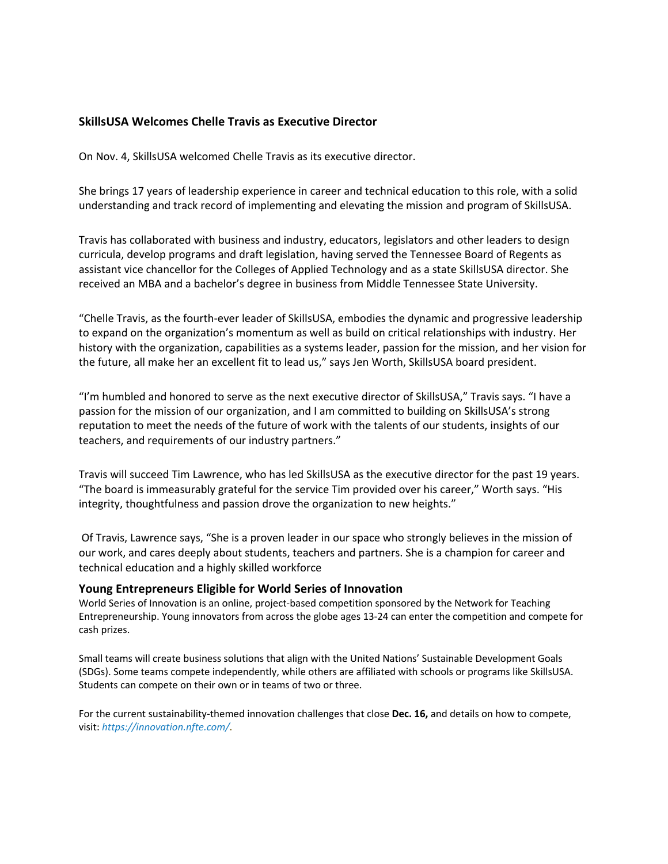#### **SkillsUSA Welcomes Chelle Travis as Executive Director**

On Nov. 4, SkillsUSA welcomed Chelle Travis as its executive director.

She brings 17 years of leadership experience in career and technical education to this role, with a solid understanding and track record of implementing and elevating the mission and program of SkillsUSA.

Travis has collaborated with business and industry, educators, legislators and other leaders to design curricula, develop programs and draft legislation, having served the Tennessee Board of Regents as assistant vice chancellor for the Colleges of Applied Technology and as a state SkillsUSA director. She received an MBA and a bachelor's degree in business from Middle Tennessee State University.

"Chelle Travis, as the fourth-ever leader of SkillsUSA, embodies the dynamic and progressive leadership to expand on the organization's momentum as well as build on critical relationships with industry. Her history with the organization, capabilities as a systems leader, passion for the mission, and her vision for the future, all make her an excellent fit to lead us," says Jen Worth, SkillsUSA board president.

"I'm humbled and honored to serve as the next executive director of SkillsUSA," Travis says. "I have a passion for the mission of our organization, and I am committed to building on SkillsUSA's strong reputation to meet the needs of the future of work with the talents of our students, insights of our teachers, and requirements of our industry partners."

Travis will succeed Tim Lawrence, who has led SkillsUSA as the executive director for the past 19 years. "The board is immeasurably grateful for the service Tim provided over his career," Worth says. "His integrity, thoughtfulness and passion drove the organization to new heights."

Of Travis, Lawrence says, "She is a proven leader in our space who strongly believes in the mission of our work, and cares deeply about students, teachers and partners. She is a champion for career and technical education and a highly skilled workforce

#### **Young Entrepreneurs Eligible for World Series of Innovation**

World Series of Innovation is an online, project-based competition sponsored by the Network for Teaching Entrepreneurship. Young innovators from across the globe ages 13-24 can enter the competition and compete for cash prizes.

Small teams will create business solutions that align with the United Nations' Sustainable Development Goals (SDGs). Some teams compete independently, while others are affiliated with schools or programs like SkillsUSA. Students can compete on their own or in teams of two or three.

For the current sustainability-themed innovation challenges that close **Dec. 16,** and details on how to compete, visit: *https://innovation.nfte.com/*.